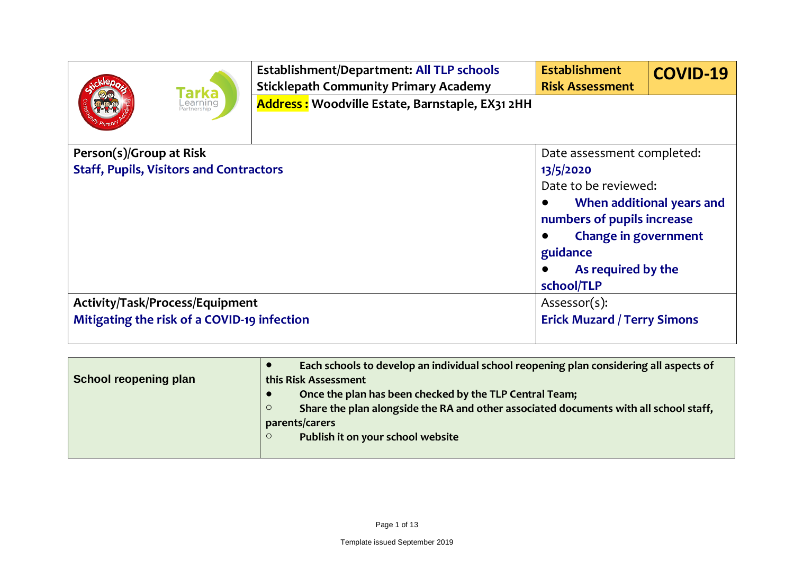|                                                             | <b>Establishment/Department: All TLP schools</b> | <b>Establishment</b>               | <b>COVID-19</b>           |
|-------------------------------------------------------------|--------------------------------------------------|------------------------------------|---------------------------|
| <b>Tarka</b><br>_earning<br>Partnership                     | <b>Sticklepath Community Primary Academy</b>     | <b>Risk Assessment</b>             |                           |
|                                                             | Address: Woodville Estate, Barnstaple, EX31 2HH  |                                    |                           |
| Person(s)/Group at Risk                                     |                                                  | Date assessment completed:         |                           |
| <b>Staff, Pupils, Visitors and Contractors</b><br>13/5/2020 |                                                  |                                    |                           |
|                                                             |                                                  | Date to be reviewed:               |                           |
|                                                             |                                                  |                                    | When additional years and |
|                                                             |                                                  | numbers of pupils increase         |                           |
|                                                             |                                                  | <b>Change in government</b>        |                           |
|                                                             |                                                  | guidance                           |                           |
|                                                             |                                                  | As required by the                 |                           |
|                                                             |                                                  | school/TLP                         |                           |
| Activity/Task/Process/Equipment                             |                                                  | Assessor(s):                       |                           |
| Mitigating the risk of a COVID-19 infection                 |                                                  | <b>Erick Muzard / Terry Simons</b> |                           |

| School reopening plan | Each schools to develop an individual school reopening plan considering all aspects of<br>this Risk Assessment |
|-----------------------|----------------------------------------------------------------------------------------------------------------|
|                       | Once the plan has been checked by the TLP Central Team;                                                        |
|                       | Share the plan alongside the RA and other associated documents with all school staff,<br>$\circ$               |
|                       | parents/carers                                                                                                 |
|                       | Publish it on your school website<br>$\circ$                                                                   |
|                       |                                                                                                                |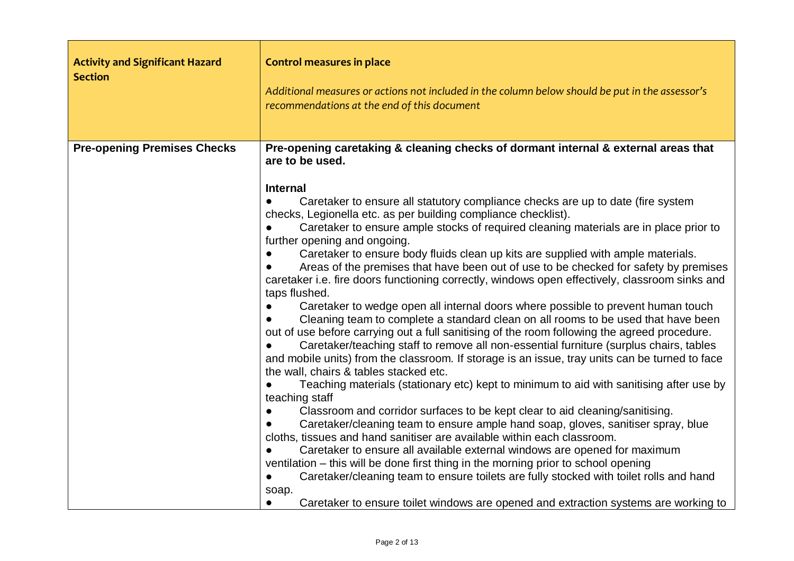| <b>Activity and Significant Hazard</b><br><b>Section</b> | <b>Control measures in place</b><br>Additional measures or actions not included in the column below should be put in the assessor's<br>recommendations at the end of this document                                                                                                                                                                                                                                                                                                                                                                                                                                                                                                                                                                                                                                                                                                                                                                                                                                                                                                                                                                                                                                                                                                                                                                                                                                                                                                                                                                                                                                                                                                                                                                                                                                                                                                                                                                                      |
|----------------------------------------------------------|-------------------------------------------------------------------------------------------------------------------------------------------------------------------------------------------------------------------------------------------------------------------------------------------------------------------------------------------------------------------------------------------------------------------------------------------------------------------------------------------------------------------------------------------------------------------------------------------------------------------------------------------------------------------------------------------------------------------------------------------------------------------------------------------------------------------------------------------------------------------------------------------------------------------------------------------------------------------------------------------------------------------------------------------------------------------------------------------------------------------------------------------------------------------------------------------------------------------------------------------------------------------------------------------------------------------------------------------------------------------------------------------------------------------------------------------------------------------------------------------------------------------------------------------------------------------------------------------------------------------------------------------------------------------------------------------------------------------------------------------------------------------------------------------------------------------------------------------------------------------------------------------------------------------------------------------------------------------------|
| <b>Pre-opening Premises Checks</b>                       | Pre-opening caretaking & cleaning checks of dormant internal & external areas that<br>are to be used.<br><b>Internal</b><br>Caretaker to ensure all statutory compliance checks are up to date (fire system<br>checks, Legionella etc. as per building compliance checklist).<br>Caretaker to ensure ample stocks of required cleaning materials are in place prior to<br>further opening and ongoing.<br>Caretaker to ensure body fluids clean up kits are supplied with ample materials.<br>Areas of the premises that have been out of use to be checked for safety by premises<br>caretaker i.e. fire doors functioning correctly, windows open effectively, classroom sinks and<br>taps flushed.<br>Caretaker to wedge open all internal doors where possible to prevent human touch<br>Cleaning team to complete a standard clean on all rooms to be used that have been<br>out of use before carrying out a full sanitising of the room following the agreed procedure.<br>Caretaker/teaching staff to remove all non-essential furniture (surplus chairs, tables<br>and mobile units) from the classroom. If storage is an issue, tray units can be turned to face<br>the wall, chairs & tables stacked etc.<br>Teaching materials (stationary etc) kept to minimum to aid with sanitising after use by<br>teaching staff<br>Classroom and corridor surfaces to be kept clear to aid cleaning/sanitising.<br>Caretaker/cleaning team to ensure ample hand soap, gloves, sanitiser spray, blue<br>cloths, tissues and hand sanitiser are available within each classroom.<br>Caretaker to ensure all available external windows are opened for maximum<br>ventilation – this will be done first thing in the morning prior to school opening<br>Caretaker/cleaning team to ensure toilets are fully stocked with toilet rolls and hand<br>$\bullet$<br>soap.<br>Caretaker to ensure toilet windows are opened and extraction systems are working to<br>$\bullet$ |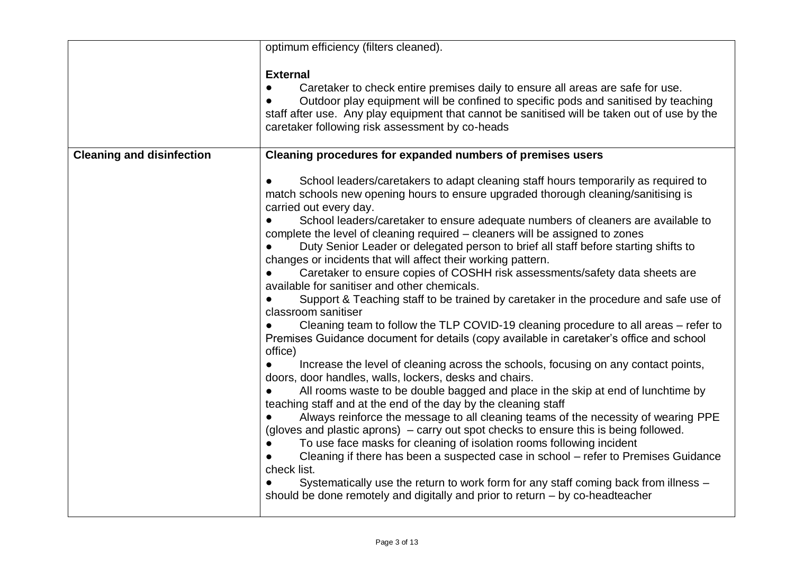|                                  | optimum efficiency (filters cleaned).                                                                                                                                                                                                                                                                                                                                                                                                                                                                                                                                                                                                                                                                                                                                                                                                                                                                                                                                                                                                                                                                                                                                                                                                                                                                                                                                                                                                                                                                                                                                                                                                                                                                                                                                                                                |
|----------------------------------|----------------------------------------------------------------------------------------------------------------------------------------------------------------------------------------------------------------------------------------------------------------------------------------------------------------------------------------------------------------------------------------------------------------------------------------------------------------------------------------------------------------------------------------------------------------------------------------------------------------------------------------------------------------------------------------------------------------------------------------------------------------------------------------------------------------------------------------------------------------------------------------------------------------------------------------------------------------------------------------------------------------------------------------------------------------------------------------------------------------------------------------------------------------------------------------------------------------------------------------------------------------------------------------------------------------------------------------------------------------------------------------------------------------------------------------------------------------------------------------------------------------------------------------------------------------------------------------------------------------------------------------------------------------------------------------------------------------------------------------------------------------------------------------------------------------------|
|                                  | <b>External</b><br>Caretaker to check entire premises daily to ensure all areas are safe for use.<br>Outdoor play equipment will be confined to specific pods and sanitised by teaching<br>staff after use. Any play equipment that cannot be sanitised will be taken out of use by the<br>caretaker following risk assessment by co-heads                                                                                                                                                                                                                                                                                                                                                                                                                                                                                                                                                                                                                                                                                                                                                                                                                                                                                                                                                                                                                                                                                                                                                                                                                                                                                                                                                                                                                                                                           |
| <b>Cleaning and disinfection</b> | Cleaning procedures for expanded numbers of premises users                                                                                                                                                                                                                                                                                                                                                                                                                                                                                                                                                                                                                                                                                                                                                                                                                                                                                                                                                                                                                                                                                                                                                                                                                                                                                                                                                                                                                                                                                                                                                                                                                                                                                                                                                           |
|                                  | School leaders/caretakers to adapt cleaning staff hours temporarily as required to<br>match schools new opening hours to ensure upgraded thorough cleaning/sanitising is<br>carried out every day.<br>School leaders/caretaker to ensure adequate numbers of cleaners are available to<br>complete the level of cleaning required - cleaners will be assigned to zones<br>Duty Senior Leader or delegated person to brief all staff before starting shifts to<br>changes or incidents that will affect their working pattern.<br>Caretaker to ensure copies of COSHH risk assessments/safety data sheets are<br>available for sanitiser and other chemicals.<br>Support & Teaching staff to be trained by caretaker in the procedure and safe use of<br>classroom sanitiser<br>Cleaning team to follow the TLP COVID-19 cleaning procedure to all areas – refer to<br>Premises Guidance document for details (copy available in caretaker's office and school<br>office)<br>Increase the level of cleaning across the schools, focusing on any contact points,<br>doors, door handles, walls, lockers, desks and chairs.<br>All rooms waste to be double bagged and place in the skip at end of lunchtime by<br>teaching staff and at the end of the day by the cleaning staff<br>Always reinforce the message to all cleaning teams of the necessity of wearing PPE<br>(gloves and plastic aprons) – carry out spot checks to ensure this is being followed.<br>To use face masks for cleaning of isolation rooms following incident<br>Cleaning if there has been a suspected case in school - refer to Premises Guidance<br>check list.<br>Systematically use the return to work form for any staff coming back from illness -<br>should be done remotely and digitally and prior to return $-$ by co-headteacher |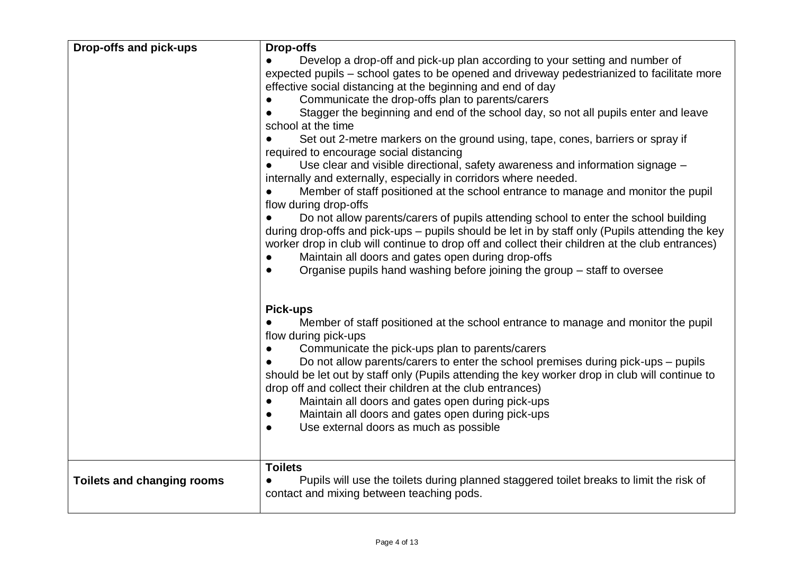| Drop-offs and pick-ups            | Drop-offs                                                                                                  |
|-----------------------------------|------------------------------------------------------------------------------------------------------------|
|                                   | Develop a drop-off and pick-up plan according to your setting and number of                                |
|                                   | expected pupils – school gates to be opened and driveway pedestrianized to facilitate more                 |
|                                   | effective social distancing at the beginning and end of day                                                |
|                                   | Communicate the drop-offs plan to parents/carers                                                           |
|                                   | Stagger the beginning and end of the school day, so not all pupils enter and leave                         |
|                                   | school at the time                                                                                         |
|                                   | Set out 2-metre markers on the ground using, tape, cones, barriers or spray if                             |
|                                   | required to encourage social distancing                                                                    |
|                                   | Use clear and visible directional, safety awareness and information signage -                              |
|                                   | internally and externally, especially in corridors where needed.                                           |
|                                   | Member of staff positioned at the school entrance to manage and monitor the pupil<br>flow during drop-offs |
|                                   | Do not allow parents/carers of pupils attending school to enter the school building                        |
|                                   | during drop-offs and pick-ups – pupils should be let in by staff only (Pupils attending the key            |
|                                   | worker drop in club will continue to drop off and collect their children at the club entrances)            |
|                                   | Maintain all doors and gates open during drop-offs                                                         |
|                                   | Organise pupils hand washing before joining the group – staff to oversee<br>$\bullet$                      |
|                                   |                                                                                                            |
|                                   | <b>Pick-ups</b>                                                                                            |
|                                   | Member of staff positioned at the school entrance to manage and monitor the pupil                          |
|                                   | flow during pick-ups                                                                                       |
|                                   | Communicate the pick-ups plan to parents/carers                                                            |
|                                   | Do not allow parents/carers to enter the school premises during pick-ups - pupils                          |
|                                   | should be let out by staff only (Pupils attending the key worker drop in club will continue to             |
|                                   | drop off and collect their children at the club entrances)                                                 |
|                                   | Maintain all doors and gates open during pick-ups                                                          |
|                                   | Maintain all doors and gates open during pick-ups                                                          |
|                                   | Use external doors as much as possible<br>$\bullet$                                                        |
|                                   |                                                                                                            |
|                                   | <b>Toilets</b>                                                                                             |
| <b>Toilets and changing rooms</b> | Pupils will use the toilets during planned staggered toilet breaks to limit the risk of                    |
|                                   | contact and mixing between teaching pods.                                                                  |
|                                   |                                                                                                            |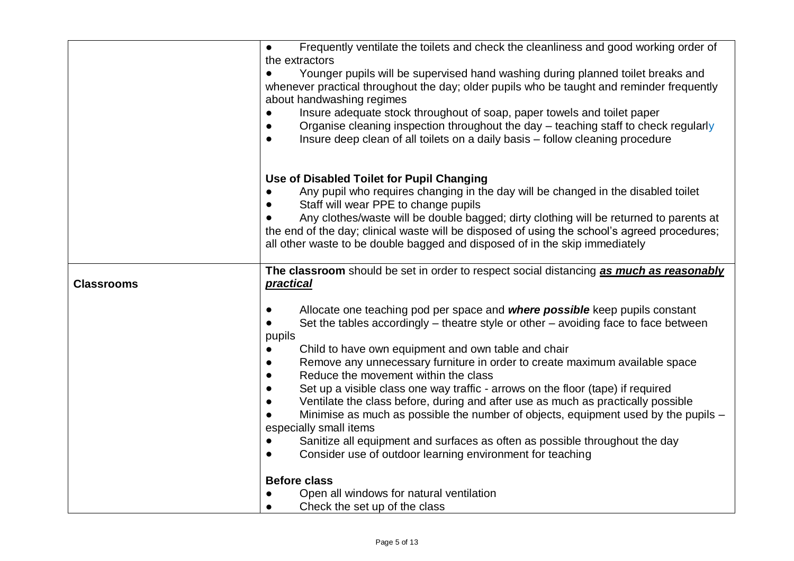|                   | Frequently ventilate the toilets and check the cleanliness and good working order of<br>$\bullet$    |
|-------------------|------------------------------------------------------------------------------------------------------|
|                   | the extractors                                                                                       |
|                   | Younger pupils will be supervised hand washing during planned toilet breaks and<br>$\bullet$         |
|                   | whenever practical throughout the day; older pupils who be taught and reminder frequently            |
|                   | about handwashing regimes                                                                            |
|                   | Insure adequate stock throughout of soap, paper towels and toilet paper<br>$\bullet$                 |
|                   | Organise cleaning inspection throughout the day – teaching staff to check regularly<br>$\bullet$     |
|                   | Insure deep clean of all toilets on a daily basis – follow cleaning procedure<br>$\bullet$           |
|                   | Use of Disabled Toilet for Pupil Changing                                                            |
|                   | Any pupil who requires changing in the day will be changed in the disabled toilet                    |
|                   | Staff will wear PPE to change pupils                                                                 |
|                   | Any clothes/waste will be double bagged; dirty clothing will be returned to parents at               |
|                   | the end of the day; clinical waste will be disposed of using the school's agreed procedures;         |
|                   | all other waste to be double bagged and disposed of in the skip immediately                          |
|                   | The classroom should be set in order to respect social distancing as much as reasonably              |
| <b>Classrooms</b> | practical                                                                                            |
|                   | Allocate one teaching pod per space and where possible keep pupils constant                          |
|                   | Set the tables accordingly $-$ theatre style or other $-$ avoiding face to face between<br>$\bullet$ |
|                   | pupils                                                                                               |
|                   | Child to have own equipment and own table and chair                                                  |
|                   | Remove any unnecessary furniture in order to create maximum available space                          |
|                   | Reduce the movement within the class                                                                 |
|                   | Set up a visible class one way traffic - arrows on the floor (tape) if required                      |
|                   | Ventilate the class before, during and after use as much as practically possible<br>$\bullet$        |
|                   | Minimise as much as possible the number of objects, equipment used by the pupils –                   |
|                   | especially small items                                                                               |
|                   | Sanitize all equipment and surfaces as often as possible throughout the day<br>$\bullet$             |
|                   | Consider use of outdoor learning environment for teaching<br>$\bullet$                               |
|                   | <b>Before class</b>                                                                                  |
|                   | Open all windows for natural ventilation                                                             |
|                   | Check the set up of the class<br>$\bullet$                                                           |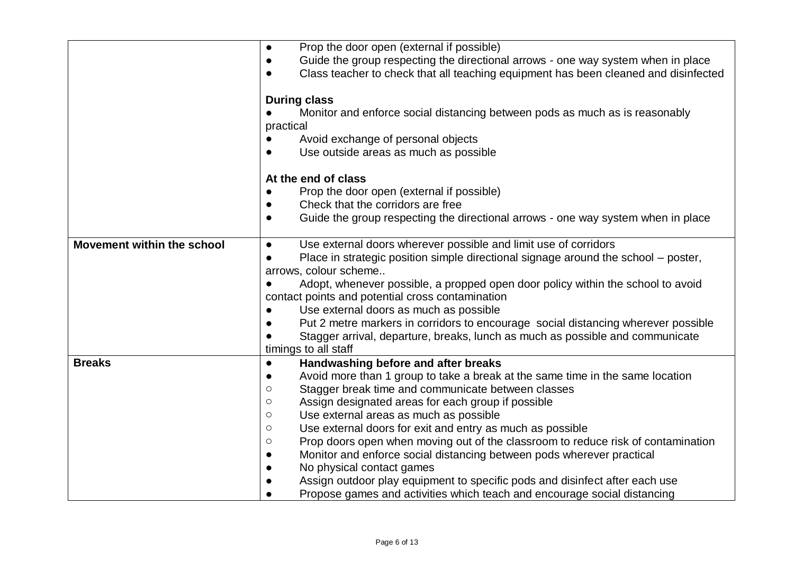|                            | Prop the door open (external if possible)<br>$\bullet$                                           |  |
|----------------------------|--------------------------------------------------------------------------------------------------|--|
|                            | Guide the group respecting the directional arrows - one way system when in place<br>$\bullet$    |  |
|                            | Class teacher to check that all teaching equipment has been cleaned and disinfected<br>$\bullet$ |  |
|                            |                                                                                                  |  |
|                            | <b>During class</b>                                                                              |  |
|                            | Monitor and enforce social distancing between pods as much as is reasonably                      |  |
|                            | practical                                                                                        |  |
|                            | Avoid exchange of personal objects<br>$\bullet$                                                  |  |
|                            | Use outside areas as much as possible<br>$\bullet$                                               |  |
|                            | At the end of class                                                                              |  |
|                            | Prop the door open (external if possible)                                                        |  |
|                            | Check that the corridors are free<br>$\bullet$                                                   |  |
|                            | Guide the group respecting the directional arrows - one way system when in place<br>$\bullet$    |  |
|                            |                                                                                                  |  |
| Movement within the school | Use external doors wherever possible and limit use of corridors<br>$\bullet$                     |  |
|                            | Place in strategic position simple directional signage around the school - poster,<br>$\bullet$  |  |
|                            | arrows, colour scheme                                                                            |  |
|                            | Adopt, whenever possible, a propped open door policy within the school to avoid                  |  |
|                            | contact points and potential cross contamination                                                 |  |
|                            | Use external doors as much as possible<br>$\bullet$                                              |  |
|                            | Put 2 metre markers in corridors to encourage social distancing wherever possible<br>$\bullet$   |  |
|                            | Stagger arrival, departure, breaks, lunch as much as possible and communicate                    |  |
|                            | timings to all staff                                                                             |  |
| <b>Breaks</b>              | Handwashing before and after breaks<br>$\bullet$                                                 |  |
|                            | Avoid more than 1 group to take a break at the same time in the same location<br>$\bullet$       |  |
|                            | Stagger break time and communicate between classes<br>$\circ$                                    |  |
|                            | Assign designated areas for each group if possible<br>$\circ$                                    |  |
|                            | Use external areas as much as possible<br>$\circlearrowright$                                    |  |
|                            | Use external doors for exit and entry as much as possible<br>$\circ$                             |  |
|                            | Prop doors open when moving out of the classroom to reduce risk of contamination<br>$\circ$      |  |
|                            | Monitor and enforce social distancing between pods wherever practical<br>$\bullet$               |  |
|                            | No physical contact games<br>$\bullet$                                                           |  |
|                            | Assign outdoor play equipment to specific pods and disinfect after each use<br>$\bullet$         |  |
|                            | Propose games and activities which teach and encourage social distancing<br>$\bullet$            |  |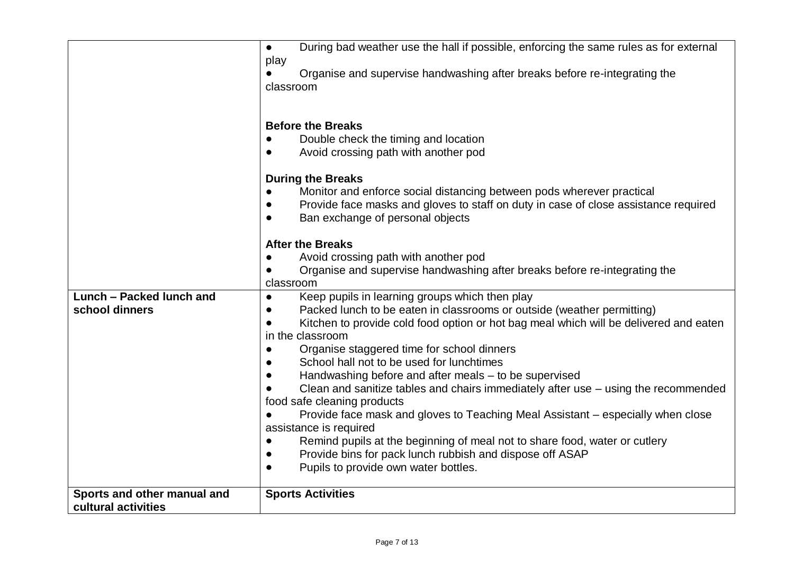|                             | During bad weather use the hall if possible, enforcing the same rules as for external<br>$\bullet$ |  |
|-----------------------------|----------------------------------------------------------------------------------------------------|--|
|                             | play                                                                                               |  |
|                             | Organise and supervise handwashing after breaks before re-integrating the<br>classroom             |  |
|                             |                                                                                                    |  |
|                             |                                                                                                    |  |
|                             | <b>Before the Breaks</b>                                                                           |  |
|                             | Double check the timing and location                                                               |  |
|                             | Avoid crossing path with another pod<br>$\bullet$                                                  |  |
|                             | <b>During the Breaks</b>                                                                           |  |
|                             | Monitor and enforce social distancing between pods wherever practical<br>$\bullet$                 |  |
|                             | Provide face masks and gloves to staff on duty in case of close assistance required                |  |
|                             | Ban exchange of personal objects                                                                   |  |
|                             | <b>After the Breaks</b>                                                                            |  |
|                             | Avoid crossing path with another pod                                                               |  |
|                             | Organise and supervise handwashing after breaks before re-integrating the                          |  |
|                             | classroom                                                                                          |  |
| Lunch - Packed lunch and    | Keep pupils in learning groups which then play<br>$\bullet$                                        |  |
| school dinners              | Packed lunch to be eaten in classrooms or outside (weather permitting)                             |  |
|                             | Kitchen to provide cold food option or hot bag meal which will be delivered and eaten              |  |
|                             | in the classroom                                                                                   |  |
|                             | Organise staggered time for school dinners                                                         |  |
|                             | School hall not to be used for lunchtimes                                                          |  |
|                             | Handwashing before and after meals - to be supervised                                              |  |
|                             | Clean and sanitize tables and chairs immediately after use $-$ using the recommended               |  |
|                             | food safe cleaning products                                                                        |  |
|                             | Provide face mask and gloves to Teaching Meal Assistant – especially when close                    |  |
|                             | assistance is required                                                                             |  |
|                             | Remind pupils at the beginning of meal not to share food, water or cutlery<br>$\bullet$            |  |
|                             | Provide bins for pack lunch rubbish and dispose off ASAP<br>$\bullet$                              |  |
|                             | Pupils to provide own water bottles.<br>$\bullet$                                                  |  |
| Sports and other manual and | <b>Sports Activities</b>                                                                           |  |
| cultural activities         |                                                                                                    |  |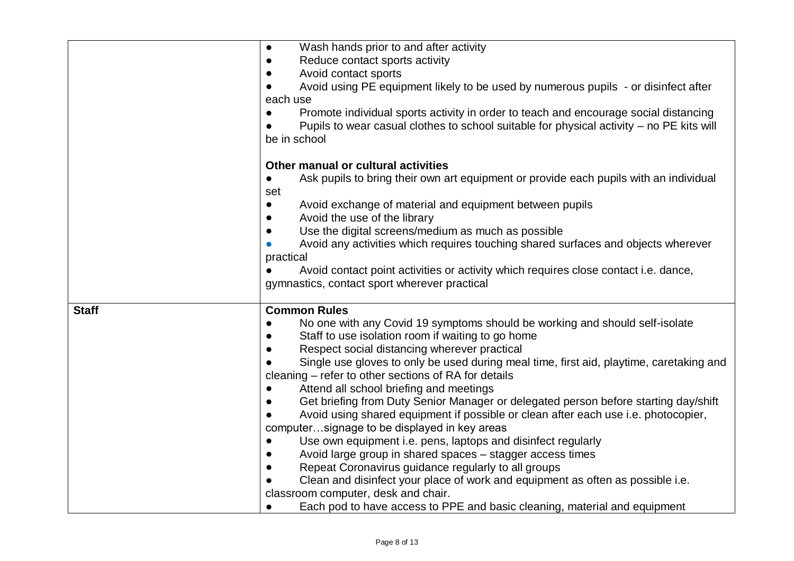|              | Wash hands prior to and after activity<br>$\bullet$                                                |
|--------------|----------------------------------------------------------------------------------------------------|
|              | Reduce contact sports activity<br>$\bullet$                                                        |
|              | Avoid contact sports<br>$\bullet$                                                                  |
|              | Avoid using PE equipment likely to be used by numerous pupils - or disinfect after                 |
|              | each use                                                                                           |
|              | Promote individual sports activity in order to teach and encourage social distancing               |
|              | Pupils to wear casual clothes to school suitable for physical activity – no PE kits will           |
|              | be in school                                                                                       |
|              |                                                                                                    |
|              | Other manual or cultural activities                                                                |
|              | Ask pupils to bring their own art equipment or provide each pupils with an individual<br>$\bullet$ |
|              | set                                                                                                |
|              | Avoid exchange of material and equipment between pupils<br>$\bullet$                               |
|              | Avoid the use of the library<br>$\bullet$                                                          |
|              | Use the digital screens/medium as much as possible<br>$\bullet$                                    |
|              | Avoid any activities which requires touching shared surfaces and objects wherever                  |
|              | practical                                                                                          |
|              | Avoid contact point activities or activity which requires close contact i.e. dance,                |
|              | gymnastics, contact sport wherever practical                                                       |
|              |                                                                                                    |
| <b>Staff</b> | <b>Common Rules</b>                                                                                |
|              | No one with any Covid 19 symptoms should be working and should self-isolate                        |
|              | Staff to use isolation room if waiting to go home                                                  |
|              | Respect social distancing wherever practical                                                       |
|              | Single use gloves to only be used during meal time, first aid, playtime, caretaking and            |
|              | cleaning – refer to other sections of RA for details                                               |
|              | Attend all school briefing and meetings<br>$\bullet$                                               |
|              | Get briefing from Duty Senior Manager or delegated person before starting day/shift<br>$\bullet$   |
|              | Avoid using shared equipment if possible or clean after each use i.e. photocopier,                 |
|              | computersignage to be displayed in key areas                                                       |
|              | Use own equipment i.e. pens, laptops and disinfect regularly<br>$\bullet$                          |
|              | Avoid large group in shared spaces - stagger access times<br>$\bullet$                             |
|              | Repeat Coronavirus guidance regularly to all groups                                                |
|              | Clean and disinfect your place of work and equipment as often as possible i.e.                     |
|              | classroom computer, desk and chair.                                                                |
|              | Each pod to have access to PPE and basic cleaning, material and equipment<br>$\bullet$             |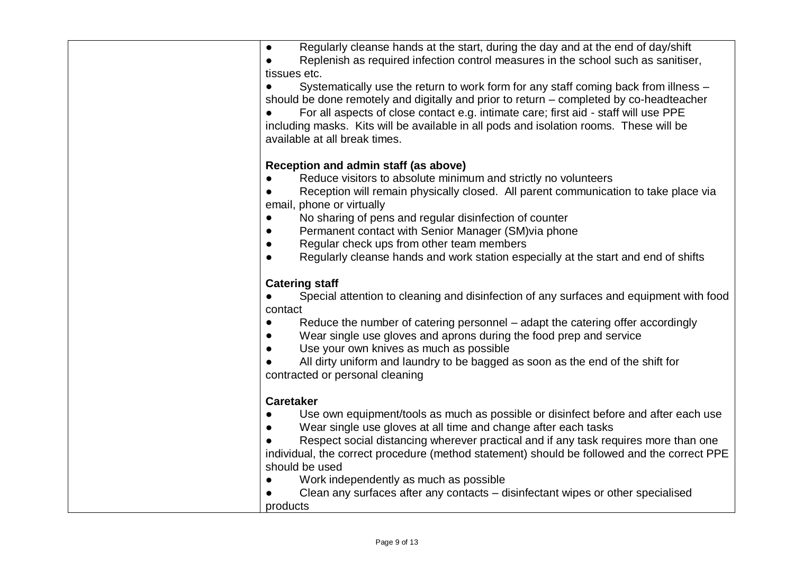| Regularly cleanse hands at the start, during the day and at the end of day/shift<br>$\bullet$<br>Replenish as required infection control measures in the school such as sanitiser,<br>tissues etc.<br>Systematically use the return to work form for any staff coming back from illness -<br>should be done remotely and digitally and prior to return – completed by co-headteacher<br>For all aspects of close contact e.g. intimate care; first aid - staff will use PPE<br>including masks. Kits will be available in all pods and isolation rooms. These will be |
|-----------------------------------------------------------------------------------------------------------------------------------------------------------------------------------------------------------------------------------------------------------------------------------------------------------------------------------------------------------------------------------------------------------------------------------------------------------------------------------------------------------------------------------------------------------------------|
| available at all break times.<br>Reception and admin staff (as above)<br>Reduce visitors to absolute minimum and strictly no volunteers<br>Reception will remain physically closed. All parent communication to take place via<br>email, phone or virtually<br>No sharing of pens and regular disinfection of counter<br>Permanent contact with Senior Manager (SM) via phone                                                                                                                                                                                         |
| Regular check ups from other team members<br>Regularly cleanse hands and work station especially at the start and end of shifts<br><b>Catering staff</b><br>Special attention to cleaning and disinfection of any surfaces and equipment with food                                                                                                                                                                                                                                                                                                                    |
| contact<br>Reduce the number of catering personnel – adapt the catering offer accordingly<br>Wear single use gloves and aprons during the food prep and service<br>Use your own knives as much as possible<br>All dirty uniform and laundry to be bagged as soon as the end of the shift for<br>contracted or personal cleaning                                                                                                                                                                                                                                       |
| <b>Caretaker</b><br>Use own equipment/tools as much as possible or disinfect before and after each use<br>Wear single use gloves at all time and change after each tasks<br>Respect social distancing wherever practical and if any task requires more than one<br>individual, the correct procedure (method statement) should be followed and the correct PPE                                                                                                                                                                                                        |
| should be used<br>Work independently as much as possible<br>Clean any surfaces after any contacts – disinfectant wipes or other specialised<br>products                                                                                                                                                                                                                                                                                                                                                                                                               |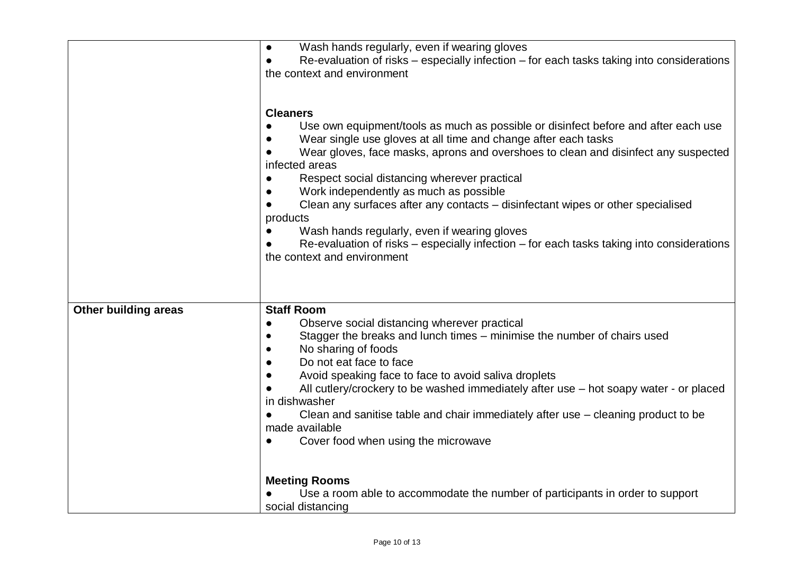|                             | Wash hands regularly, even if wearing gloves<br>$\bullet$<br>Re-evaluation of risks – especially infection – for each tasks taking into considerations<br>$\bullet$<br>the context and environment                                                                                                                                                                                                                                                                                                                                                                                                                                                                |
|-----------------------------|-------------------------------------------------------------------------------------------------------------------------------------------------------------------------------------------------------------------------------------------------------------------------------------------------------------------------------------------------------------------------------------------------------------------------------------------------------------------------------------------------------------------------------------------------------------------------------------------------------------------------------------------------------------------|
|                             | <b>Cleaners</b><br>Use own equipment/tools as much as possible or disinfect before and after each use<br>Wear single use gloves at all time and change after each tasks<br>Wear gloves, face masks, aprons and overshoes to clean and disinfect any suspected<br>infected areas<br>Respect social distancing wherever practical<br>$\bullet$<br>Work independently as much as possible<br>Clean any surfaces after any contacts - disinfectant wipes or other specialised<br>products<br>Wash hands regularly, even if wearing gloves<br>Re-evaluation of risks – especially infection – for each tasks taking into considerations<br>the context and environment |
| <b>Other building areas</b> | <b>Staff Room</b><br>Observe social distancing wherever practical<br>Stagger the breaks and lunch times – minimise the number of chairs used<br>No sharing of foods<br>Do not eat face to face<br>Avoid speaking face to face to avoid saliva droplets<br>All cutlery/crockery to be washed immediately after use – hot soapy water - or placed<br>in dishwasher<br>Clean and sanitise table and chair immediately after use – cleaning product to be<br>made available<br>Cover food when using the microwave<br>$\bullet$                                                                                                                                       |
|                             | <b>Meeting Rooms</b><br>Use a room able to accommodate the number of participants in order to support<br>social distancing                                                                                                                                                                                                                                                                                                                                                                                                                                                                                                                                        |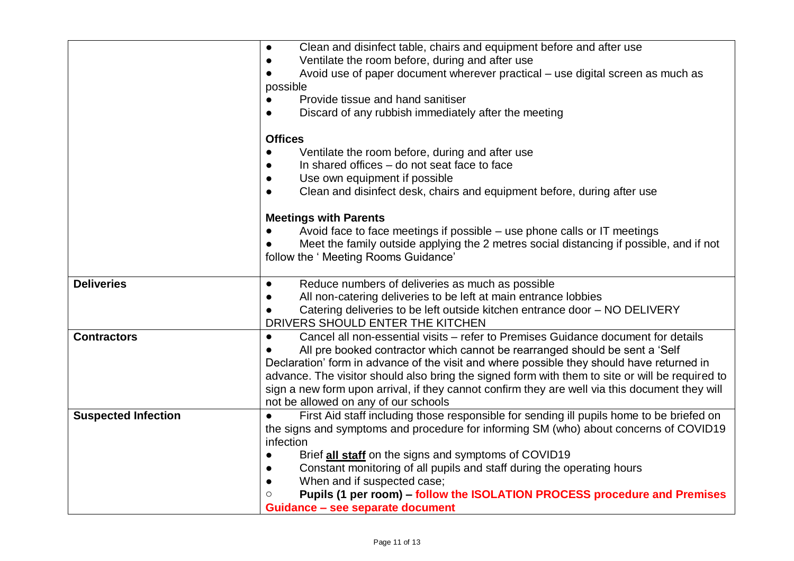|                            | Clean and disinfect table, chairs and equipment before and after use<br>$\bullet$               |
|----------------------------|-------------------------------------------------------------------------------------------------|
|                            | Ventilate the room before, during and after use<br>$\bullet$                                    |
|                            | Avoid use of paper document wherever practical – use digital screen as much as                  |
|                            | possible                                                                                        |
|                            | Provide tissue and hand sanitiser                                                               |
|                            | Discard of any rubbish immediately after the meeting<br>$\bullet$                               |
|                            |                                                                                                 |
|                            | <b>Offices</b>                                                                                  |
|                            | Ventilate the room before, during and after use                                                 |
|                            | In shared offices – do not seat face to face                                                    |
|                            | Use own equipment if possible                                                                   |
|                            | Clean and disinfect desk, chairs and equipment before, during after use<br>$\bullet$            |
|                            | <b>Meetings with Parents</b>                                                                    |
|                            | Avoid face to face meetings if possible – use phone calls or IT meetings                        |
|                            | Meet the family outside applying the 2 metres social distancing if possible, and if not         |
|                            | follow the ' Meeting Rooms Guidance'                                                            |
|                            |                                                                                                 |
| <b>Deliveries</b>          | Reduce numbers of deliveries as much as possible<br>$\bullet$                                   |
|                            | All non-catering deliveries to be left at main entrance lobbies<br>$\bullet$                    |
|                            | Catering deliveries to be left outside kitchen entrance door - NO DELIVERY                      |
|                            | DRIVERS SHOULD ENTER THE KITCHEN                                                                |
| <b>Contractors</b>         | Cancel all non-essential visits - refer to Premises Guidance document for details<br>$\bullet$  |
|                            | All pre booked contractor which cannot be rearranged should be sent a 'Self                     |
|                            | Declaration' form in advance of the visit and where possible they should have returned in       |
|                            | advance. The visitor should also bring the signed form with them to site or will be required to |
|                            | sign a new form upon arrival, if they cannot confirm they are well via this document they will  |
|                            | not be allowed on any of our schools                                                            |
| <b>Suspected Infection</b> | First Aid staff including those responsible for sending ill pupils home to be briefed on        |
|                            | the signs and symptoms and procedure for informing SM (who) about concerns of COVID19           |
|                            | infection                                                                                       |
|                            | Brief all staff on the signs and symptoms of COVID19<br>$\bullet$                               |
|                            | Constant monitoring of all pupils and staff during the operating hours<br>$\bullet$             |
|                            | When and if suspected case;<br>$\bullet$                                                        |
|                            | Pupils (1 per room) - follow the ISOLATION PROCESS procedure and Premises                       |
|                            | Guidance - see separate document                                                                |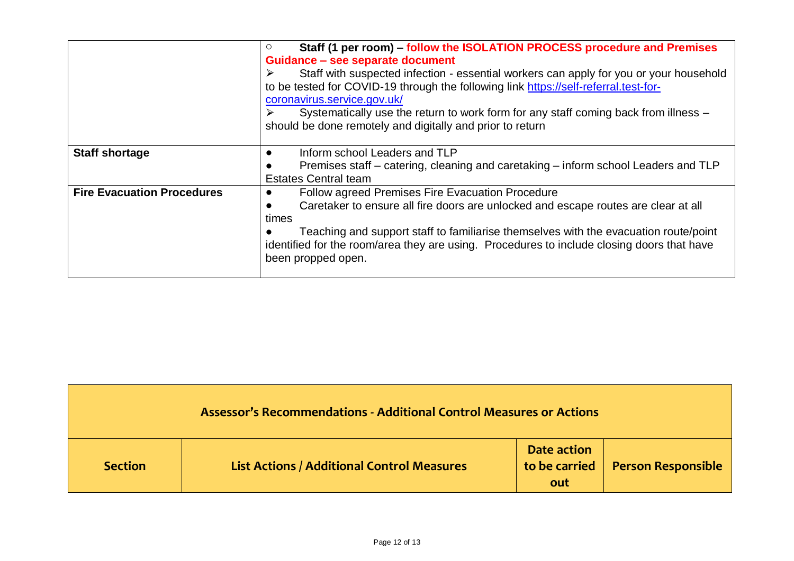|                                   | Staff (1 per room) – follow the ISOLATION PROCESS procedure and Premises<br>$\circ$        |  |  |  |  |
|-----------------------------------|--------------------------------------------------------------------------------------------|--|--|--|--|
|                                   | Guidance - see separate document                                                           |  |  |  |  |
|                                   | Staff with suspected infection - essential workers can apply for you or your household     |  |  |  |  |
|                                   | to be tested for COVID-19 through the following link https://self-referral.test-for-       |  |  |  |  |
|                                   | coronavirus.service.gov.uk/                                                                |  |  |  |  |
|                                   | Systematically use the return to work form for any staff coming back from illness -        |  |  |  |  |
|                                   | should be done remotely and digitally and prior to return                                  |  |  |  |  |
|                                   |                                                                                            |  |  |  |  |
| <b>Staff shortage</b>             | Inform school Leaders and TLP                                                              |  |  |  |  |
|                                   | Premises staff – catering, cleaning and caretaking – inform school Leaders and TLP         |  |  |  |  |
|                                   | <b>Estates Central team</b>                                                                |  |  |  |  |
| <b>Fire Evacuation Procedures</b> | <b>Follow agreed Premises Fire Evacuation Procedure</b>                                    |  |  |  |  |
|                                   | Caretaker to ensure all fire doors are unlocked and escape routes are clear at all         |  |  |  |  |
|                                   | times                                                                                      |  |  |  |  |
|                                   | Teaching and support staff to familiarise themselves with the evacuation route/point       |  |  |  |  |
|                                   | identified for the room/area they are using. Procedures to include closing doors that have |  |  |  |  |
|                                   | been propped open.                                                                         |  |  |  |  |
|                                   |                                                                                            |  |  |  |  |

| <b>Assessor's Recommendations - Additional Control Measures or Actions</b> |                                                   |                                     |                           |  |  |
|----------------------------------------------------------------------------|---------------------------------------------------|-------------------------------------|---------------------------|--|--|
| <b>Section</b>                                                             | <b>List Actions / Additional Control Measures</b> | Date action<br>to be carried<br>out | <b>Person Responsible</b> |  |  |